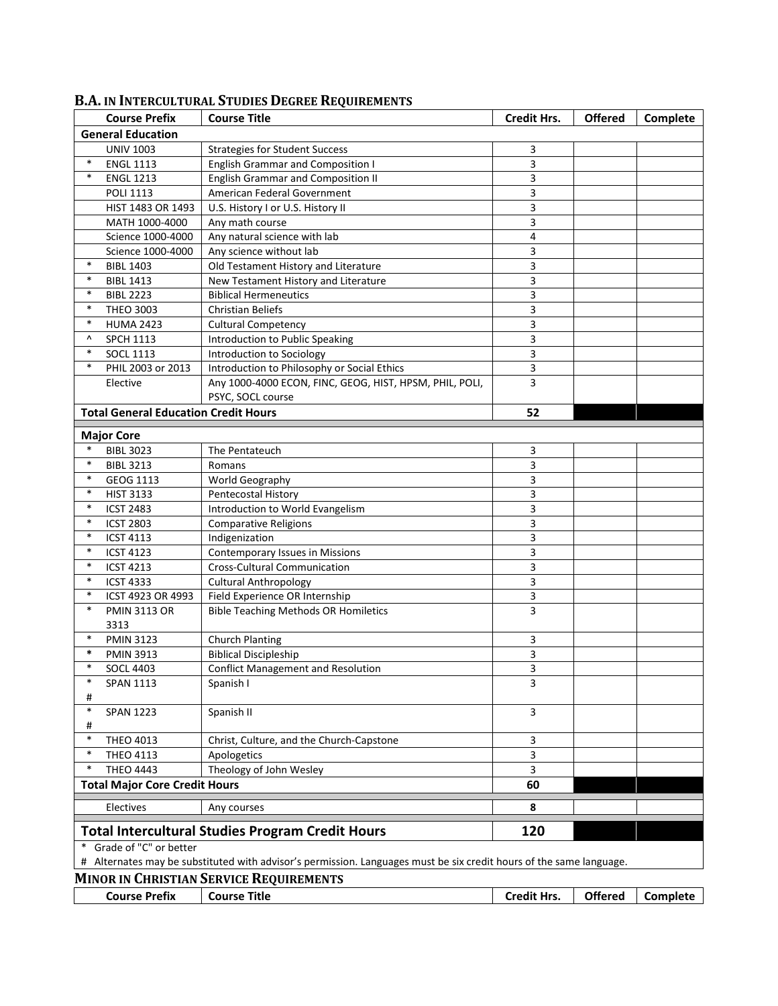|                                                                                                                     | <b>Course Prefix</b>                        | <b>Course Title</b>                                     | <b>Credit Hrs.</b> | <b>Offered</b> | Complete |  |  |
|---------------------------------------------------------------------------------------------------------------------|---------------------------------------------|---------------------------------------------------------|--------------------|----------------|----------|--|--|
| <b>General Education</b>                                                                                            |                                             |                                                         |                    |                |          |  |  |
|                                                                                                                     | <b>UNIV 1003</b>                            | <b>Strategies for Student Success</b>                   | 3                  |                |          |  |  |
| $\ast$                                                                                                              | <b>ENGL 1113</b>                            | <b>English Grammar and Composition I</b>                | 3                  |                |          |  |  |
| $\ast$                                                                                                              | <b>ENGL 1213</b>                            | <b>English Grammar and Composition II</b>               | 3                  |                |          |  |  |
|                                                                                                                     | <b>POLI 1113</b>                            | American Federal Government                             | 3                  |                |          |  |  |
|                                                                                                                     | HIST 1483 OR 1493                           | U.S. History I or U.S. History II                       | 3                  |                |          |  |  |
|                                                                                                                     | MATH 1000-4000                              | Any math course                                         | 3                  |                |          |  |  |
|                                                                                                                     | Science 1000-4000                           | Any natural science with lab                            | 4                  |                |          |  |  |
|                                                                                                                     | Science 1000-4000                           | Any science without lab                                 | 3                  |                |          |  |  |
| $\ast$                                                                                                              | <b>BIBL 1403</b>                            | Old Testament History and Literature                    | 3                  |                |          |  |  |
| $\ast$                                                                                                              | <b>BIBL 1413</b>                            | New Testament History and Literature                    | 3                  |                |          |  |  |
| $\ast$                                                                                                              | <b>BIBL 2223</b>                            | <b>Biblical Hermeneutics</b>                            | 3                  |                |          |  |  |
| $\ast$                                                                                                              | <b>THEO 3003</b>                            | <b>Christian Beliefs</b>                                | 3                  |                |          |  |  |
| $\ast$                                                                                                              | <b>HUMA 2423</b>                            | <b>Cultural Competency</b>                              | 3                  |                |          |  |  |
| ۸                                                                                                                   | <b>SPCH 1113</b>                            | Introduction to Public Speaking                         | 3                  |                |          |  |  |
| $\ast$                                                                                                              | <b>SOCL 1113</b>                            | Introduction to Sociology                               | 3                  |                |          |  |  |
| $\ast$                                                                                                              | PHIL 2003 or 2013                           | Introduction to Philosophy or Social Ethics             | 3                  |                |          |  |  |
|                                                                                                                     | Elective                                    | Any 1000-4000 ECON, FINC, GEOG, HIST, HPSM, PHIL, POLI, | 3                  |                |          |  |  |
|                                                                                                                     |                                             | PSYC, SOCL course                                       |                    |                |          |  |  |
|                                                                                                                     | <b>Total General Education Credit Hours</b> |                                                         | 52                 |                |          |  |  |
|                                                                                                                     |                                             |                                                         |                    |                |          |  |  |
|                                                                                                                     | <b>Major Core</b>                           |                                                         |                    |                |          |  |  |
| $\ast$                                                                                                              | <b>BIBL 3023</b>                            | The Pentateuch                                          | 3                  |                |          |  |  |
| $\ast$                                                                                                              | <b>BIBL 3213</b>                            | Romans                                                  | 3                  |                |          |  |  |
| $\ast$                                                                                                              | GEOG 1113                                   | World Geography                                         | 3                  |                |          |  |  |
| $\ast$                                                                                                              | <b>HIST 3133</b>                            | Pentecostal History                                     | 3                  |                |          |  |  |
| $\ast$                                                                                                              | <b>ICST 2483</b>                            | Introduction to World Evangelism                        | 3                  |                |          |  |  |
| $\ast$                                                                                                              | <b>ICST 2803</b>                            | <b>Comparative Religions</b>                            | 3                  |                |          |  |  |
| $\ast$                                                                                                              | <b>ICST 4113</b>                            | Indigenization                                          | 3                  |                |          |  |  |
| $\ast$                                                                                                              | <b>ICST 4123</b>                            | <b>Contemporary Issues in Missions</b>                  | 3                  |                |          |  |  |
| $\ast$                                                                                                              | <b>ICST 4213</b>                            | <b>Cross-Cultural Communication</b>                     | 3                  |                |          |  |  |
| $\ast$                                                                                                              | <b>ICST 4333</b>                            | <b>Cultural Anthropology</b>                            | 3                  |                |          |  |  |
| $\ast$                                                                                                              | ICST 4923 OR 4993                           | Field Experience OR Internship                          | 3                  |                |          |  |  |
| $\ast$                                                                                                              | <b>PMIN 3113 OR</b>                         | <b>Bible Teaching Methods OR Homiletics</b>             | 3                  |                |          |  |  |
|                                                                                                                     | 3313                                        |                                                         |                    |                |          |  |  |
| $\ast$                                                                                                              | <b>PMIN 3123</b>                            | <b>Church Planting</b>                                  | 3                  |                |          |  |  |
| $\ast$                                                                                                              | <b>PMIN 3913</b>                            | <b>Biblical Discipleship</b>                            | 3                  |                |          |  |  |
| *                                                                                                                   | <b>SOCL 4403</b>                            | <b>Conflict Management and Resolution</b>               | 3                  |                |          |  |  |
|                                                                                                                     | <b>SPAN 1113</b>                            | Spanish I                                               | 3                  |                |          |  |  |
| #                                                                                                                   |                                             |                                                         |                    |                |          |  |  |
| $\ast$                                                                                                              | <b>SPAN 1223</b>                            | Spanish II                                              | 3                  |                |          |  |  |
| #                                                                                                                   |                                             |                                                         |                    |                |          |  |  |
| $\ast$                                                                                                              | THEO 4013                                   | Christ, Culture, and the Church-Capstone                | 3                  |                |          |  |  |
| $\ast$                                                                                                              | THEO 4113                                   | Apologetics                                             | 3                  |                |          |  |  |
| $\ast$                                                                                                              | <b>THEO 4443</b>                            | Theology of John Wesley                                 | 3                  |                |          |  |  |
| <b>Total Major Core Credit Hours</b>                                                                                |                                             | 60                                                      |                    |                |          |  |  |
|                                                                                                                     | Electives                                   | Any courses                                             | 8                  |                |          |  |  |
|                                                                                                                     |                                             | <b>Total Intercultural Studies Program Credit Hours</b> | 120                |                |          |  |  |
| Grade of "C" or better<br>$\ast$                                                                                    |                                             |                                                         |                    |                |          |  |  |
| # Alternates may be substituted with advisor's permission. Languages must be six credit hours of the same language. |                                             |                                                         |                    |                |          |  |  |
|                                                                                                                     |                                             | <b>MINOR IN CHRISTIAN SERVICE REQUIREMENTS</b>          |                    |                |          |  |  |
|                                                                                                                     | <b>Course Prefix</b>                        | <b>Course Title</b>                                     | <b>Credit Hrs.</b> | <b>Offered</b> | Complete |  |  |

## **B.A. IN INTERCULTURAL STUDIES DEGREE REQUIREMENTS**